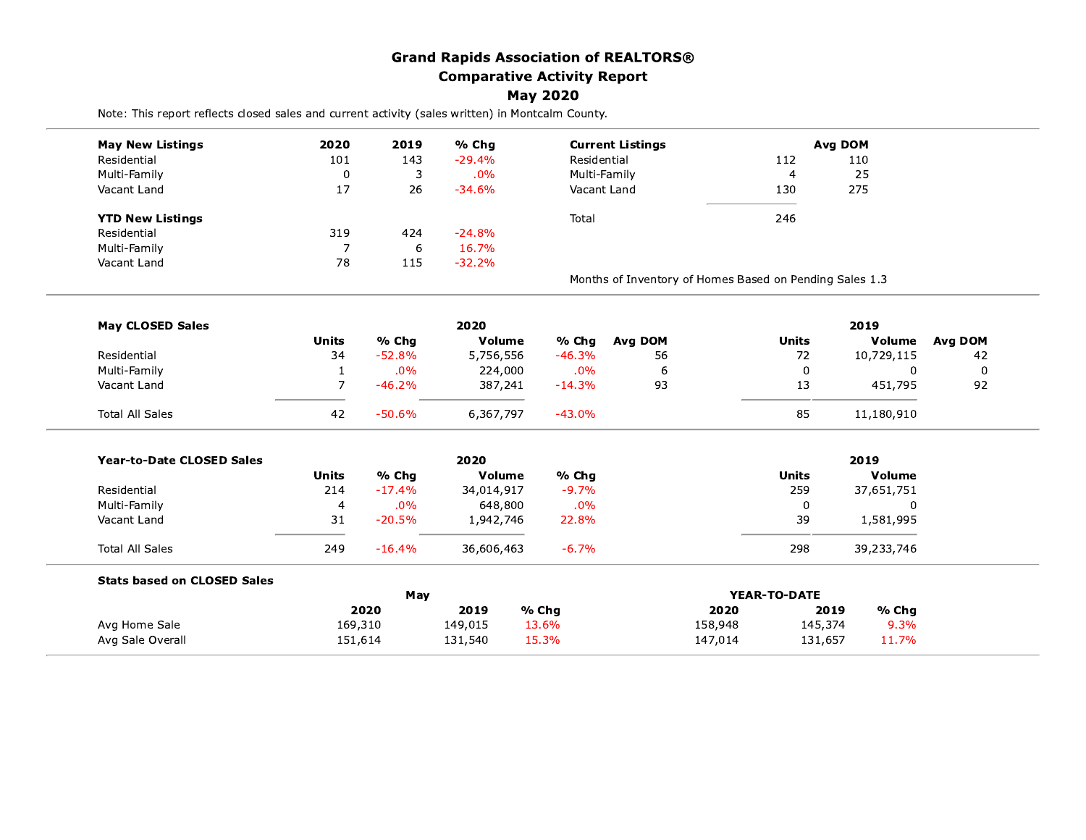## **Grand Rapids Association of REALTORS® Comparative Activity Report**

**May 2020** 

Note: This report reflects closed sales and current activity (sales written) in Montcalm County.

| <b>May New Listings</b>            | 2020           | 2019     | % Chg           |              | <b>Current Listings</b>                                 |              | Avg DOM       |         |  |
|------------------------------------|----------------|----------|-----------------|--------------|---------------------------------------------------------|--------------|---------------|---------|--|
| Residential                        | 101            | 143<br>3 | $-29.4%$<br>.0% | Residential  |                                                         | 112          | 110           |         |  |
| Multi-Family                       | 0              |          |                 | Multi-Family |                                                         | 4            | 25            |         |  |
| Vacant Land                        | 17             | 26       | $-34.6%$        | Vacant Land  |                                                         | 130          | 275           |         |  |
| <b>YTD New Listings</b>            |                |          |                 | Total        |                                                         | 246          |               |         |  |
| Residential                        | 319            | 424      | $-24.8%$        |              |                                                         |              |               |         |  |
| Multi-Family                       | $\overline{7}$ | 6        | 16.7%           |              |                                                         |              |               |         |  |
| Vacant Land                        | 78             | 115      | $-32.2%$        |              |                                                         |              |               |         |  |
|                                    |                |          |                 |              | Months of Inventory of Homes Based on Pending Sales 1.3 |              |               |         |  |
| <b>May CLOSED Sales</b>            |                |          | 2020            |              |                                                         |              | 2019          |         |  |
|                                    | <b>Units</b>   | % Chg    | Volume          | % Chg        | Avg DOM                                                 | <b>Units</b> | <b>Volume</b> | Avg DOM |  |
| Residential                        | 34             | $-52.8%$ | 5,756,556       | $-46.3%$     | 56                                                      | 72           | 10,729,115    | 42      |  |
| Multi-Family                       | $\mathbf{1}$   | .0%      | 224,000         | .0%          | 6                                                       | 0            | $\Omega$      | 0       |  |
| Vacant Land                        | $\overline{7}$ | $-46.2%$ | 387,241         | $-14.3%$     | 93                                                      | 13           | 451,795       | 92      |  |
| <b>Total All Sales</b>             | 42             | $-50.6%$ | 6,367,797       | $-43.0%$     |                                                         | 85           | 11,180,910    |         |  |
| <b>Year-to-Date CLOSED Sales</b>   | 2020           |          |                 |              |                                                         | 2019         |               |         |  |
|                                    | <b>Units</b>   | % Chg    | Volume          | % Chg        |                                                         | <b>Units</b> | Volume        |         |  |
| Residential                        | 214            | $-17.4%$ | 34,014,917      | $-9.7%$      |                                                         | 259          | 37,651,751    |         |  |
| Multi-Family                       | 4              | .0%      | 648,800         | .0%          |                                                         | 0            | 0             |         |  |
| Vacant Land                        | 31             | $-20.5%$ | 1,942,746       | 22.8%        |                                                         | 39           | 1,581,995     |         |  |
| <b>Total All Sales</b>             | 249            | $-16.4%$ | 36,606,463      | $-6.7%$      |                                                         | 298          | 39,233,746    |         |  |
| <b>Stats based on CLOSED Sales</b> |                |          |                 |              |                                                         |              |               |         |  |
|                                    |                | May      |                 |              | YEAR-TO-DATE                                            |              |               |         |  |
|                                    |                | 2020     | 2019            | % Chq        | 2020                                                    | 2019         | % Chg         |         |  |
| Avg Home Sale                      | 169,310        |          | 149,015         | 13.6%        | 158,948                                                 | 145,374      | 9.3%          |         |  |
| Avg Sale Overall                   | 151,614        |          | 131,540         | 15.3%        | 147,014                                                 | 131,657      | 11.7%         |         |  |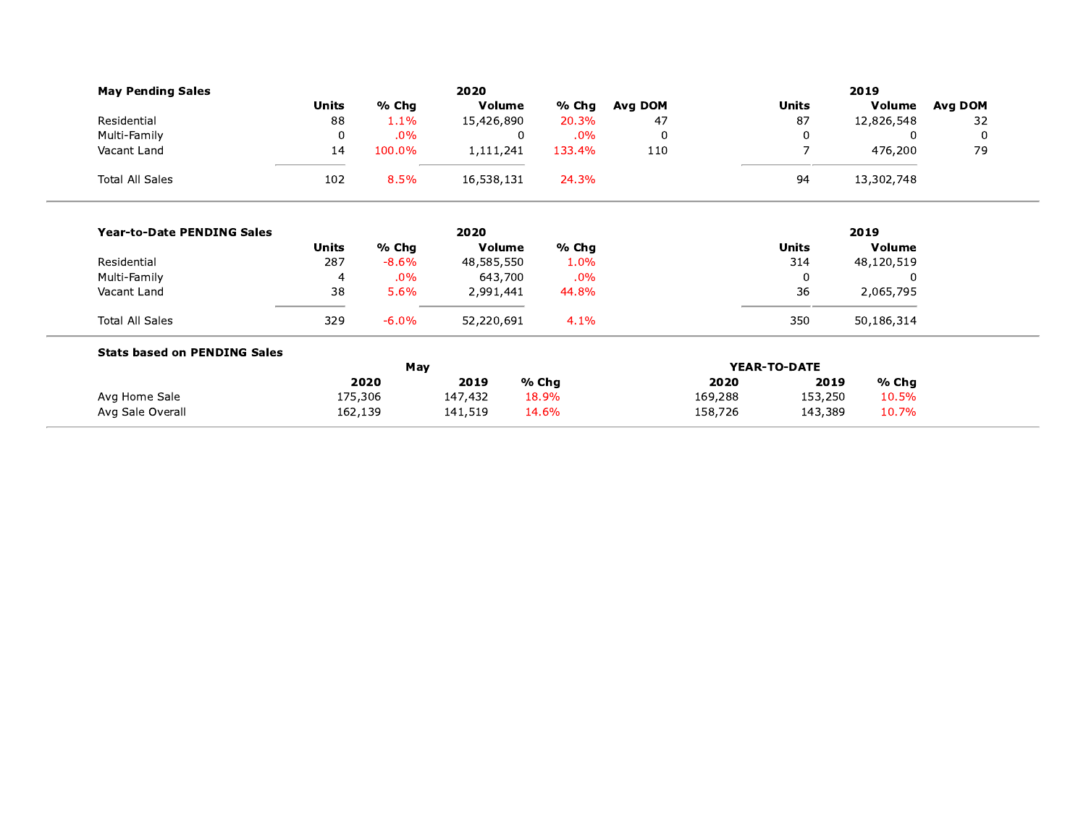| <b>May Pending Sales</b>            |                |         | 2020            |                |                    |                 |                 | 2019           |             |
|-------------------------------------|----------------|---------|-----------------|----------------|--------------------|-----------------|-----------------|----------------|-------------|
|                                     | <b>Units</b>   | % Chg   | Volume          | % Chg          | Avg DOM            |                 | <b>Units</b>    | Volume         | Avg DOM     |
| Residential                         | 88             | 1.1%    | 15,426,890      | 20.3%          | 47                 |                 | 87              | 12,826,548     | 32          |
| Multi-Family                        | $\mathbf 0$    | .0%     |                 | $\overline{0}$ | .0%<br>$\mathbf 0$ |                 | 0               | $\mathbf{0}$   | $\mathbf 0$ |
| Vacant Land                         | 14             | 100.0%  | 1,111,241       | 133.4%         | 110                |                 | $\overline{7}$  | 476,200        | 79          |
| <b>Total All Sales</b>              | 102            | 8.5%    | 16,538,131      | 24.3%          |                    |                 | 94              | 13,302,748     |             |
| <b>Year-to-Date PENDING Sales</b>   |                |         | 2020            |                |                    |                 |                 | 2019           |             |
|                                     | <b>Units</b>   | % Chg   | Volume          | % Chg          |                    |                 | <b>Units</b>    | Volume         |             |
| Residential                         | 287            | $-8.6%$ | 48,585,550      | 1.0%           |                    |                 | 314             | 48,120,519     |             |
| Multi-Family                        | $\overline{4}$ | .0%     | 643,700         |                | $.0\%$             |                 | $\mathbf 0$     | $\mathbf{0}$   |             |
| Vacant Land                         | 38             | 5.6%    | 2,991,441       | 44.8%          |                    |                 | 36              | 2,065,795      |             |
| <b>Total All Sales</b>              | 329            | $-6.0%$ | 52,220,691      |                | 4.1%               |                 | 350             | 50,186,314     |             |
| <b>Stats based on PENDING Sales</b> |                |         |                 |                |                    |                 |                 |                |             |
|                                     |                | May     |                 |                |                    |                 | YEAR-TO-DATE    |                |             |
| Avg Home Sale                       | 175,306        | 2020    | 2019<br>147,432 | % Chg<br>18.9% |                    | 2020<br>169,288 | 2019<br>153,250 | % Chg<br>10.5% |             |
| Avg Sale Overall                    | 162,139        |         | 141,519         | 14.6%          |                    | 158,726         | 143,389         | 10.7%          |             |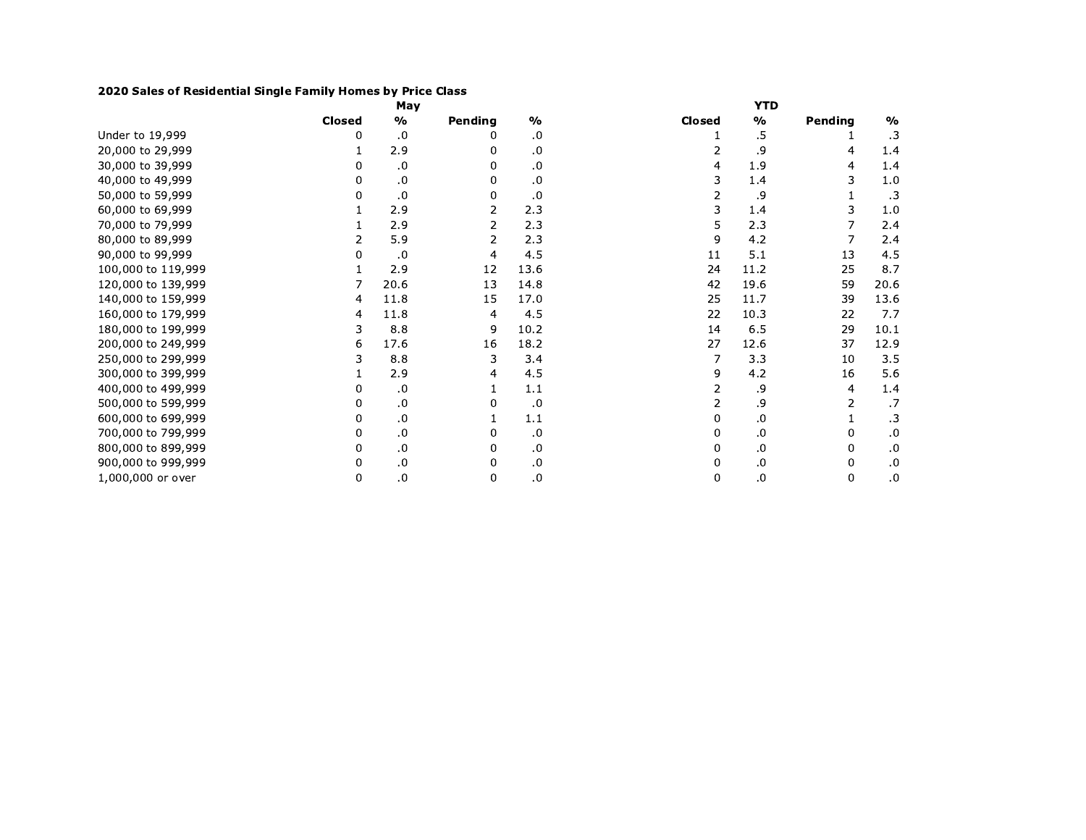## 2020 Sales of Residential Single Family Homes by Price Class

|                    |               | May           |         |               |               | <b>YTD</b>    |         |               |
|--------------------|---------------|---------------|---------|---------------|---------------|---------------|---------|---------------|
|                    | <b>Closed</b> | $\frac{0}{0}$ | Pending | $\frac{0}{0}$ | <b>Closed</b> | $\frac{0}{0}$ | Pending | $\frac{0}{0}$ |
| Under to 19,999    | 0             | .0            |         | .0            |               | .5            |         | $\cdot$ 3     |
| 20,000 to 29,999   |               | 2.9           | 0       | .0            | 2             | و.            | 4       | 1.4           |
| 30,000 to 39,999   | 0             | .0            |         | .0            | 4             | 1.9           | 4       | 1.4           |
| 40,000 to 49,999   | 0             | .0            | 0       | .0            | 3             | 1.4           | 3       | 1.0           |
| 50,000 to 59,999   | 0             | .0            | 0       | .0            |               | و.            | 1       | $\cdot$ 3     |
| 60,000 to 69,999   |               | 2.9           | 2       | 2.3           | 3             | 1.4           | 3       | 1.0           |
| 70,000 to 79,999   |               | 2.9           | 2       | 2.3           | 5             | 2.3           | 7       | 2.4           |
| 80,000 to 89,999   |               | 5.9           | 2       | 2.3           | 9             | 4.2           |         | 2.4           |
| 90,000 to 99,999   | 0             | .0            | 4       | 4.5           | 11            | 5.1           | 13      | 4.5           |
| 100,000 to 119,999 |               | 2.9           | 12      | 13.6          | 24            | 11.2          | 25      | 8.7           |
| 120,000 to 139,999 | 7             | 20.6          | 13      | 14.8          | 42            | 19.6          | 59      | 20.6          |
| 140,000 to 159,999 | 4             | 11.8          | 15      | 17.0          | 25            | 11.7          | 39      | 13.6          |
| 160,000 to 179,999 | 4             | 11.8          | 4       | 4.5           | 22            | 10.3          | 22      | 7.7           |
| 180,000 to 199,999 | 3             | 8.8           | 9       | 10.2          | 14            | 6.5           | 29      | 10.1          |
| 200,000 to 249,999 | 6             | 17.6          | 16      | 18.2          | 27            | 12.6          | 37      | 12.9          |
| 250,000 to 299,999 | 3             | 8.8           | 3       | 3.4           |               | 3.3           | 10      | 3.5           |
| 300,000 to 399,999 |               | 2.9           | 4       | 4.5           | 9             | 4.2           | 16      | 5.6           |
| 400,000 to 499,999 | 0             | .0            |         | 1.1           | 2             | .9            | 4       | 1.4           |
| 500,000 to 599,999 | 0             | .0            | 0       | .0            | 2             | .9            | 2       | .7            |
| 600,000 to 699,999 | 0             | $\cdot$       |         | 1.1           | 0             | .0            |         | .3            |
| 700,000 to 799,999 | 0             | .0            | 0       | .0            | 0             | .0            | 0       | .0            |
| 800,000 to 899,999 | 0             | .0            | 0       | .0            | 0             | .0            | 0       | .0            |
| 900,000 to 999,999 | 0             | $\cdot$ 0     | 0       | .0            | 0             | .0            | 0       | .0            |
| 1,000,000 or over  | 0             | .0            | 0       | 0.            | 0             | .0            | 0       | .0            |